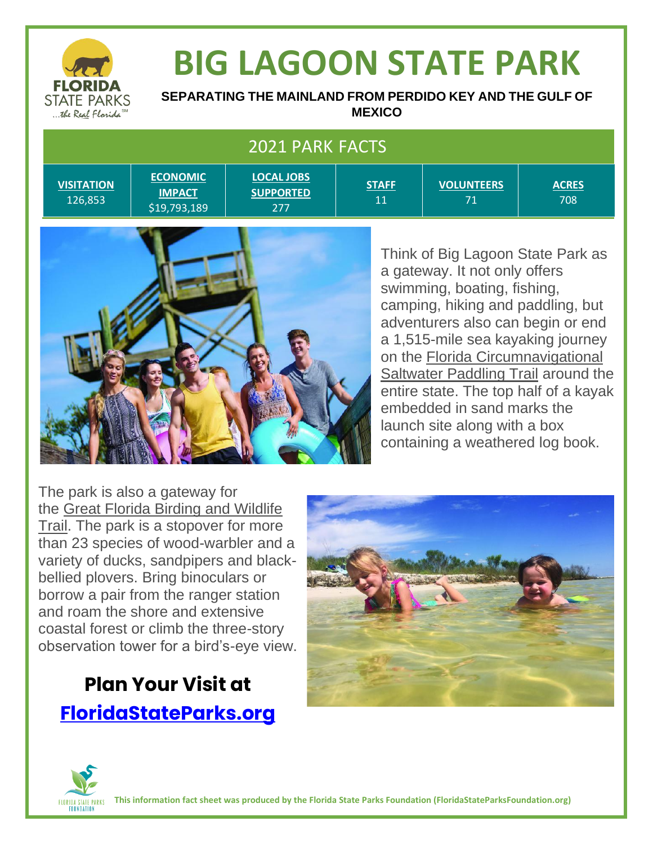

# **BIG LAGOON STATE PARK**

**SEPARATING THE MAINLAND FROM PERDIDO KEY AND THE GULF OF MEXICO**

| 2021 PARK FACTS              |                                                  |                                              |                    |                         |                     |
|------------------------------|--------------------------------------------------|----------------------------------------------|--------------------|-------------------------|---------------------|
| <b>VISITATION</b><br>126,853 | <b>ECONOMIC</b><br><b>IMPACT</b><br>\$19,793,189 | <b>LOCAL JOBS</b><br><b>SUPPORTED</b><br>277 | <b>STAFF</b><br>11 | <b>VOLUNTEERS</b><br>71 | <b>ACRES</b><br>708 |



Think of Big Lagoon State Park as a gateway. It not only offers swimming, boating, fishing, camping, hiking and paddling, but adventurers also can begin or end a 1,515-mile sea kayaking journey on the [Florida Circumnavigational](https://floridadep.gov/parks/ogt/content/florida-circumnavigational-saltwater-paddling-trail)  [Saltwater Paddling Trail](https://floridadep.gov/parks/ogt/content/florida-circumnavigational-saltwater-paddling-trail) around the entire state. The top half of a kayak embedded in sand marks the launch site along with a box containing a weathered log book.

The park is also a gateway for the [Great Florida Birding and Wildlife](http://floridabirdingtrail.com/)  [Trail.](http://floridabirdingtrail.com/) The park is a stopover for more than 23 species of wood-warbler and a variety of ducks, sandpipers and blackbellied plovers. Bring binoculars or borrow a pair from the ranger station and roam the shore and extensive coastal forest or climb the three-story observation tower for a bird's-eye view.

### **Plan Your Visit at [FloridaStateParks.org](http://www.floridastateparks.org/)**